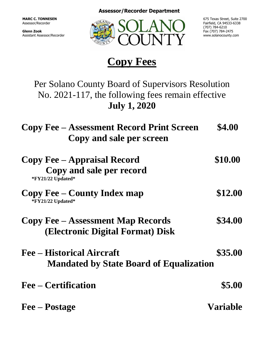**Assessor/Recorder Department**

**MARC C. TONNESEN** Assessor/Recorder

**Glenn Zook** Assistant Assessor/Recorder



675 Texas Street, Suite 2700 Fairfield, CA 94533-6338 (707) 784-6210 Fax (707) 784-2475 www.solanocounty.com

## **Copy Fees**

Per Solano County Board of Supervisors Resolution No. 2021-117, the following fees remain effective **July 1, 2020**

| <b>Copy Fee – Assessment Record Print Screen</b><br>Copy and sale per screen        | \$4.00          |
|-------------------------------------------------------------------------------------|-----------------|
| <b>Copy Fee – Appraisal Record</b><br>Copy and sale per record<br>*FY21/22 Updated* | \$10.00         |
| <b>Copy Fee – County Index map</b><br>*FY21/22 Updated*                             | \$12.00         |
| <b>Copy Fee – Assessment Map Records</b><br>(Electronic Digital Format) Disk        | \$34.00         |
| <b>Fee – Historical Aircraft</b><br><b>Mandated by State Board of Equalization</b>  | \$35.00         |
| <b>Fee – Certification</b>                                                          | \$5.00          |
| Fee – Postage                                                                       | <b>Variable</b> |